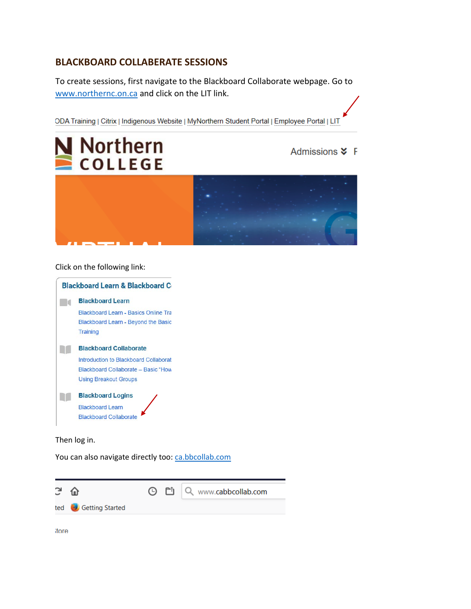# **BLACKBOARD COLLABERATE SESSIONS**

To create sessions, first navigate to the Blackboard Collaborate webpage. Go to [www.northernc.on.ca](http://www.northernc.on.ca/) and click on the LIT link.

ODA Training | Citrix | Indigenous Website | MyNorthern Student Portal | Employee Portal | LIT



Admissions **X** F



Click on the following link:



Then log in.

You can also navigate directly too: [ca.bbcollab.com](http://www.ca.bbcollab.com/)



itore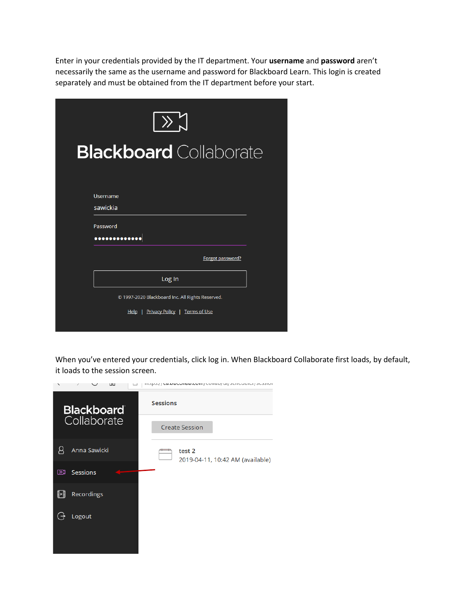Enter in your credentials provided by the IT department. Your **username** and **password** aren't necessarily the same as the username and password for Blackboard Learn. This login is created separately and must be obtained from the IT department before your start.

| $\ket{\lambda}$                                                                          |
|------------------------------------------------------------------------------------------|
| <b>Blackboard</b> Collaborate                                                            |
| Username<br>sawickia                                                                     |
| Password<br>                                                                             |
| Forgot password?                                                                         |
| Log In                                                                                   |
| © 1997-2020 Blackboard Inc. All Rights Reserved.<br>Help   Privacy Policy   Terms of Use |

When you've entered your credentials, click log in. When Blackboard Collaborate first loads, by default, it loads to the session screen.

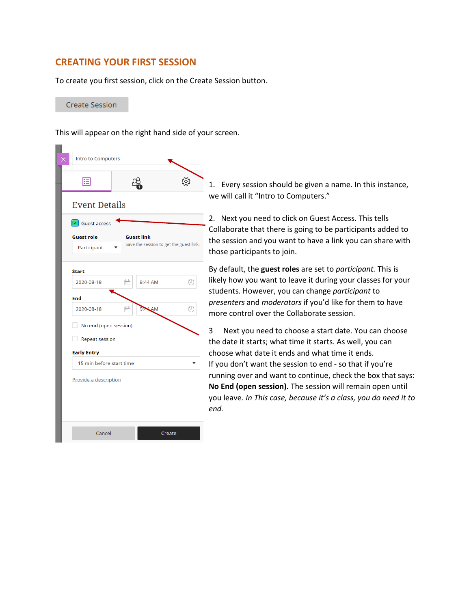# **CREATING YOUR FIRST SESSION**

To create you first session, click on the Create Session button.

**Create Session** 

m.

This will appear on the right hand side of your screen.

|                                                       | Intro to Computers                    |                                         |               |     |  |  |  |  |
|-------------------------------------------------------|---------------------------------------|-----------------------------------------|---------------|-----|--|--|--|--|
|                                                       | 追                                     |                                         |               | १०३ |  |  |  |  |
|                                                       | <b>Event Details</b>                  |                                         |               |     |  |  |  |  |
|                                                       | $\boxed{\mathbf{I}}$ Guest access     |                                         |               |     |  |  |  |  |
| <b>Guest role</b><br><b>Guest link</b><br>Participant |                                       | Save the session to get the guest link. |               |     |  |  |  |  |
|                                                       | <b>Start</b>                          |                                         |               |     |  |  |  |  |
|                                                       | 2020-08-18                            | fii                                     | 8:44 AM       | O   |  |  |  |  |
|                                                       | End                                   |                                         |               |     |  |  |  |  |
|                                                       | 2020-08-18                            | m                                       | 9:44 AM       | (T  |  |  |  |  |
|                                                       | No end (open session)<br>$\mathbf{L}$ |                                         |               |     |  |  |  |  |
|                                                       | <b>Repeat session</b><br>H            |                                         |               |     |  |  |  |  |
|                                                       | <b>Early Entry</b>                    |                                         |               |     |  |  |  |  |
| 15 min before start time                              |                                       |                                         |               |     |  |  |  |  |
| Provide a description                                 |                                       |                                         |               |     |  |  |  |  |
|                                                       |                                       |                                         |               |     |  |  |  |  |
|                                                       |                                       |                                         |               |     |  |  |  |  |
|                                                       |                                       |                                         |               |     |  |  |  |  |
|                                                       | Cancel                                |                                         | <b>Create</b> |     |  |  |  |  |

1. Every session should be given a name. In this instance, we will call it "Intro to Computers."

2. Next you need to click on Guest Access. This tells Collaborate that there is going to be participants added to the session and you want to have a link you can share with those participants to join.

By default, the **guest roles** are set to *participant.* This is likely how you want to leave it during your classes for your students. However, you can change *participant* to *presenters* and *moderators* if you'd like for them to have more control over the Collaborate session.

3 Next you need to choose a start date. You can choose the date it starts; what time it starts. As well, you can choose what date it ends and what time it ends. If you don't want the session to end - so that if you're running over and want to continue, check the box that says: **No End (open session).** The session will remain open until you leave. *In This case, because it's a class, you do need it to end.*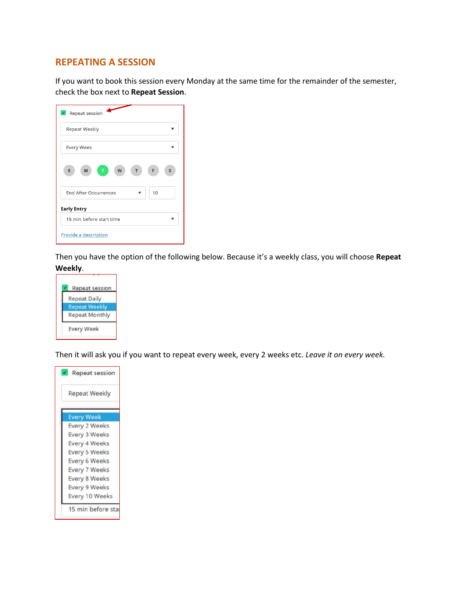## **REPEATING A SESSION**

If you want to book this session every Monday at the same time for the remainder of the semester, check the box next to **Repeat Session**.

| Repeat session                     |
|------------------------------------|
| Repeat Weekly                      |
| Every Week                         |
| S<br>M<br>W<br>S<br>T<br>F<br>T    |
| 10<br><b>End After Occurrences</b> |
| <b>Early Entry</b>                 |
| 15 min before start time           |
| Provide a description              |

Then you have the option of the following below. Because it's a weekly class, you will choose **Repeat Weekly**.



Then it will ask you if you want to repeat every week, every 2 weeks etc. *Leave it on every week.*

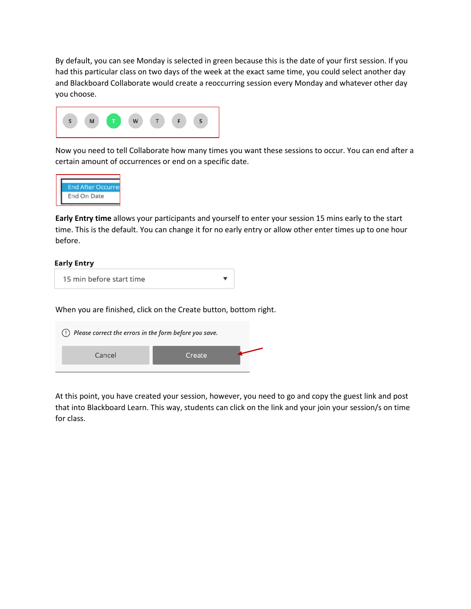By default, you can see Monday is selected in green because this is the date of your first session. If you had this particular class on two days of the week at the exact same time, you could select another day and Blackboard Collaborate would create a reoccurring session every Monday and whatever other day you choose.



Now you need to tell Collaborate how many times you want these sessions to occur. You can end after a certain amount of occurrences or end on a specific date.



**Early Entry time** allows your participants and yourself to enter your session 15 mins early to the start time. This is the default. You can change it for no early entry or allow other enter times up to one hour before.

#### **Early Entry**

When you are finished, click on the Create button, bottom right.



At this point, you have created your session, however, you need to go and copy the guest link and post that into Blackboard Learn. This way, students can click on the link and your join your session/s on time for class.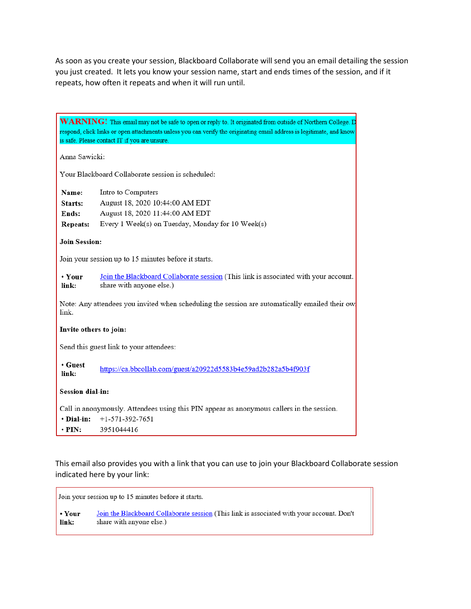As soon as you create your session, Blackboard Collaborate will send you an email detailing the session you just created. It lets you know your session name, start and ends times of the session, and if it repeats, how often it repeats and when it will run until.

| WARNING! This email may not be safe to open or reply to. It originated from outside of Northern College. D<br>respond, click links or open attachments unless you can verify the originating email address is legitimate, and know<br>is safe. Please contact IT if you are unsure. |                                                                                                                                               |  |  |  |
|-------------------------------------------------------------------------------------------------------------------------------------------------------------------------------------------------------------------------------------------------------------------------------------|-----------------------------------------------------------------------------------------------------------------------------------------------|--|--|--|
| Anna Sawicki:                                                                                                                                                                                                                                                                       |                                                                                                                                               |  |  |  |
| Your Blackboard Collaborate session is scheduled:                                                                                                                                                                                                                                   |                                                                                                                                               |  |  |  |
| Name:<br>Starts:<br>Ends:<br><b>Repeats:</b>                                                                                                                                                                                                                                        | Intro to Computers<br>August 18, 2020 10:44:00 AM EDT<br>August 18, 2020 11:44:00 AM EDT<br>Every 1 Week(s) on Tuesday, Monday for 10 Week(s) |  |  |  |
| <b>Join Session:</b>                                                                                                                                                                                                                                                                |                                                                                                                                               |  |  |  |
| Join your session up to 15 minutes before it starts.                                                                                                                                                                                                                                |                                                                                                                                               |  |  |  |
| • Your<br>link:                                                                                                                                                                                                                                                                     | Join the Blackboard Collaborate session (This link is associated with your account.<br>share with anyone else.)                               |  |  |  |
| Note: Any attendees you invited when scheduling the session are automatically emailed their owl<br>link.                                                                                                                                                                            |                                                                                                                                               |  |  |  |
| Invite others to join:                                                                                                                                                                                                                                                              |                                                                                                                                               |  |  |  |
|                                                                                                                                                                                                                                                                                     | Send this guest link to your attendees:                                                                                                       |  |  |  |
| • Guest<br>link:                                                                                                                                                                                                                                                                    | https://ca.bbcollab.com/guest/a20922d5583b4e59ad2b282a5b4f903f                                                                                |  |  |  |
| <b>Session dial-in:</b>                                                                                                                                                                                                                                                             |                                                                                                                                               |  |  |  |
| Call in anonymously. Attendees using this PIN appear as anonymous callers in the session.<br>· Dial-in:<br>$+1-571-392-7651$<br>$\cdot$ PIN:<br>3951044416                                                                                                                          |                                                                                                                                               |  |  |  |

This email also provides you with a link that you can use to join your Blackboard Collaborate session indicated here by your link:

Join your session up to 15 minutes before it starts. Join the Blackboard Collaborate session (This link is associated with your account. Don't • Your share with anyone else.)  $link:$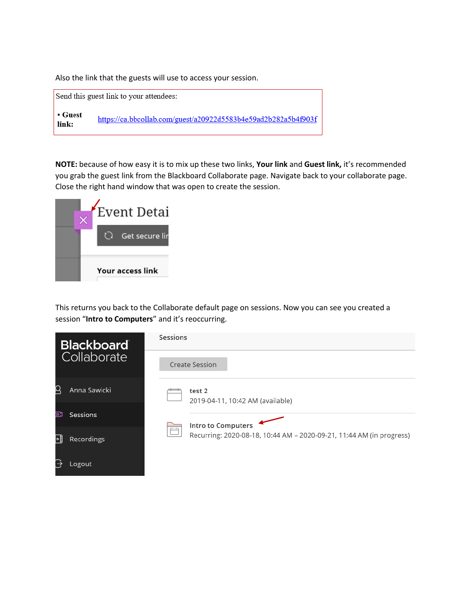Also the link that the guests will use to access your session.



**NOTE:** because of how easy it is to mix up these two links, **Your link** and **Guest link,** it's recommended you grab the guest link from the Blackboard Collaborate page. Navigate back to your collaborate page. Close the right hand window that was open to create the session.



This returns you back to the Collaborate default page on sessions. Now you can see you created a session "**Intro to Computers**" and it's reoccurring.

| Blackboard               | <b>Sessions</b>                                                                |  |  |  |  |
|--------------------------|--------------------------------------------------------------------------------|--|--|--|--|
| Collaborate              | <b>Create Session</b>                                                          |  |  |  |  |
| $\alpha$<br>Anna Sawicki | test 2<br>2019-04-11, 10:42 AM (available)                                     |  |  |  |  |
| ⊠<br><b>Sessions</b>     | <b>Intro to Computers</b>                                                      |  |  |  |  |
| 냬<br>Recordings          | $\Box$<br>Recurring: 2020-08-18, 10:44 AM - 2020-09-21, 11:44 AM (in progress) |  |  |  |  |
| ₿<br>Logout              |                                                                                |  |  |  |  |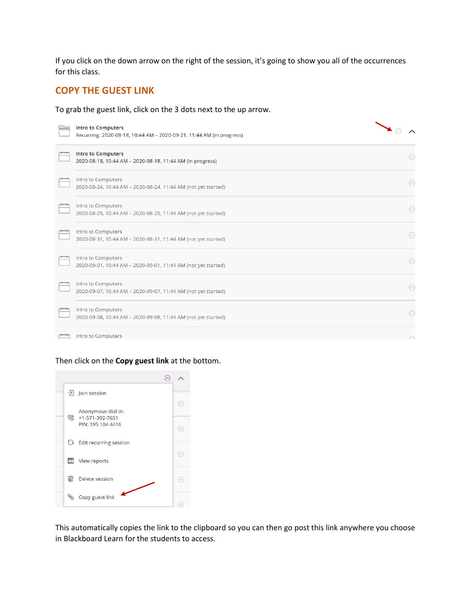If you click on the down arrow on the right of the session, it's going to show you all of the occurrences for this class.

### **COPY THE GUEST LINK**

To grab the guest link, click on the 3 dots next to the up arrow.

| Intro to Computers<br>Recurring: 2020-08-18, 10:44 AM - 2020-09-21, 11:44 AM (in progress) |                        |
|--------------------------------------------------------------------------------------------|------------------------|
| Intro to Computers<br>2020-08-18, 10:44 AM - 2020-08-18, 11:44 AM (in progress)            | $\left( \dots \right)$ |
| Intro to Computers<br>2020-08-24, 10:44 AM - 2020-08-24, 11:44 AM (not yet started)        | $\left(\cdots\right)$  |
| Intro to Computers<br>2020-08-25, 10:44 AM - 2020-08-25, 11:44 AM (not yet started)        | $(\cdot\cdot\cdot)$    |
| Intro to Computers<br>2020-08-31, 10:44 AM - 2020-08-31, 11:44 AM (not yet started)        | $\left(\cdots\right)$  |
| Intro to Computers<br>2020-09-01, 10:44 AM - 2020-09-01, 11:44 AM (not yet started)        | $\left(\cdots\right)$  |
| Intro to Computers<br>2020-09-07, 10:44 AM - 2020-09-07, 11:44 AM (not yet started)        | $\odot$                |
| Intro to Computers<br>2020-09-08, 10:44 AM - 2020-09-08, 11:44 AM (not yet started)        | $\left(\cdots\right)$  |
| Intro to Computers                                                                         |                        |

### Then click on the **Copy guest link** at the bottom.



This automatically copies the link to the clipboard so you can then go post this link anywhere you choose in Blackboard Learn for the students to access.